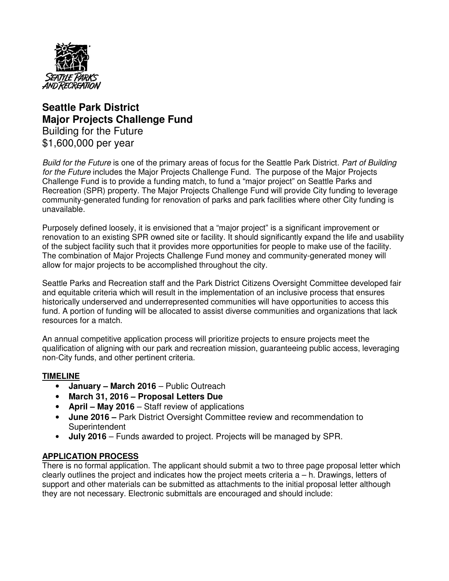

# **Seattle Park District Major Projects Challenge Fund**  Building for the Future \$1,600,000 per year

Build for the Future is one of the primary areas of focus for the Seattle Park District. Part of Building for the Future includes the Major Projects Challenge Fund. The purpose of the Major Projects Challenge Fund is to provide a funding match, to fund a "major project" on Seattle Parks and Recreation (SPR) property. The Major Projects Challenge Fund will provide City funding to leverage community-generated funding for renovation of parks and park facilities where other City funding is unavailable.

Purposely defined loosely, it is envisioned that a "major project" is a significant improvement or renovation to an existing SPR owned site or facility. It should significantly expand the life and usability of the subject facility such that it provides more opportunities for people to make use of the facility. The combination of Major Projects Challenge Fund money and community-generated money will allow for major projects to be accomplished throughout the city.

Seattle Parks and Recreation staff and the Park District Citizens Oversight Committee developed fair and equitable criteria which will result in the implementation of an inclusive process that ensures historically underserved and underrepresented communities will have opportunities to access this fund. A portion of funding will be allocated to assist diverse communities and organizations that lack resources for a match.

An annual competitive application process will prioritize projects to ensure projects meet the qualification of aligning with our park and recreation mission, guaranteeing public access, leveraging non-City funds, and other pertinent criteria.

### **TIMELINE**

- **January March 2016** Public Outreach
- **March 31, 2016 Proposal Letters Due**
- **April May 2016** Staff review of applications
- **June 2016** Park District Oversight Committee review and recommendation to Superintendent
- **July 2016** Funds awarded to project. Projects will be managed by SPR.

### **APPLICATION PROCESS**

There is no formal application. The applicant should submit a two to three page proposal letter which clearly outlines the project and indicates how the project meets criteria  $a - h$ . Drawings, letters of support and other materials can be submitted as attachments to the initial proposal letter although they are not necessary. Electronic submittals are encouraged and should include: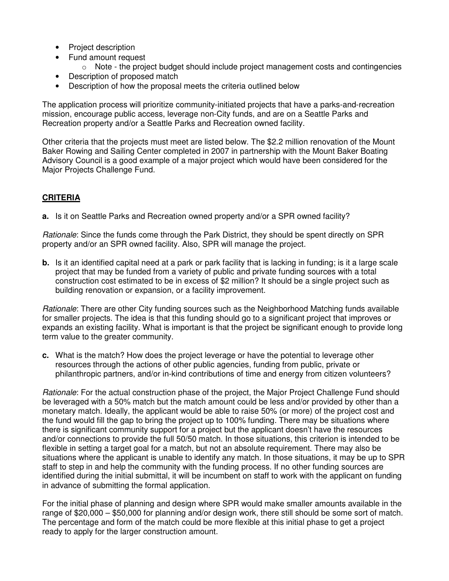- Project description
- Fund amount request
	- $\circ$  Note the project budget should include project management costs and contingencies
- Description of proposed match
- Description of how the proposal meets the criteria outlined below

The application process will prioritize community-initiated projects that have a parks-and-recreation mission, encourage public access, leverage non-City funds, and are on a Seattle Parks and Recreation property and/or a Seattle Parks and Recreation owned facility.

Other criteria that the projects must meet are listed below. The \$2.2 million renovation of the Mount Baker Rowing and Sailing Center completed in 2007 in partnership with the Mount Baker Boating Advisory Council is a good example of a major project which would have been considered for the Major Projects Challenge Fund.

# **CRITERIA**

**a.** Is it on Seattle Parks and Recreation owned property and/or a SPR owned facility?

Rationale: Since the funds come through the Park District, they should be spent directly on SPR property and/or an SPR owned facility. Also, SPR will manage the project.

**b.** Is it an identified capital need at a park or park facility that is lacking in funding; is it a large scale project that may be funded from a variety of public and private funding sources with a total construction cost estimated to be in excess of \$2 million? It should be a single project such as building renovation or expansion, or a facility improvement.

Rationale: There are other City funding sources such as the Neighborhood Matching funds available for smaller projects. The idea is that this funding should go to a significant project that improves or expands an existing facility. What is important is that the project be significant enough to provide long term value to the greater community.

**c.** What is the match? How does the project leverage or have the potential to leverage other resources through the actions of other public agencies, funding from public, private or philanthropic partners, and/or in-kind contributions of time and energy from citizen volunteers?

Rationale: For the actual construction phase of the project, the Major Project Challenge Fund should be leveraged with a 50% match but the match amount could be less and/or provided by other than a monetary match. Ideally, the applicant would be able to raise 50% (or more) of the project cost and the fund would fill the gap to bring the project up to 100% funding. There may be situations where there is significant community support for a project but the applicant doesn't have the resources and/or connections to provide the full 50/50 match. In those situations, this criterion is intended to be flexible in setting a target goal for a match, but not an absolute requirement. There may also be situations where the applicant is unable to identify any match. In those situations, it may be up to SPR staff to step in and help the community with the funding process. If no other funding sources are identified during the initial submittal, it will be incumbent on staff to work with the applicant on funding in advance of submitting the formal application.

For the initial phase of planning and design where SPR would make smaller amounts available in the range of \$20,000 – \$50,000 for planning and/or design work, there still should be some sort of match. The percentage and form of the match could be more flexible at this initial phase to get a project ready to apply for the larger construction amount.